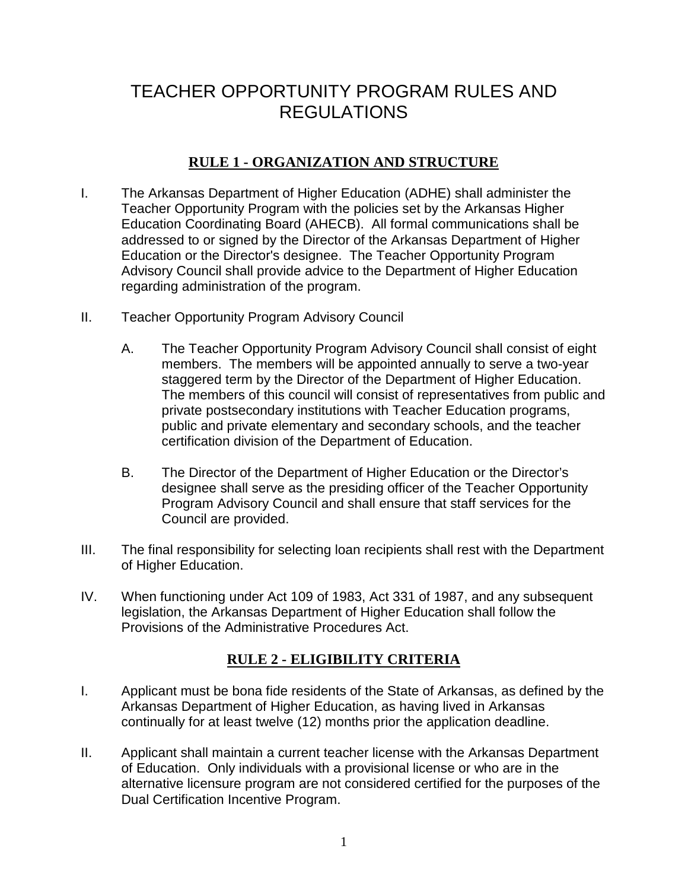# TEACHER OPPORTUNITY PROGRAM RULES AND REGULATIONS

# **RULE 1 - ORGANIZATION AND STRUCTURE**

- I. The Arkansas Department of Higher Education (ADHE) shall administer the Teacher Opportunity Program with the policies set by the Arkansas Higher Education Coordinating Board (AHECB). All formal communications shall be addressed to or signed by the Director of the Arkansas Department of Higher Education or the Director's designee. The Teacher Opportunity Program Advisory Council shall provide advice to the Department of Higher Education regarding administration of the program.
- II. Teacher Opportunity Program Advisory Council
	- A. The Teacher Opportunity Program Advisory Council shall consist of eight members. The members will be appointed annually to serve a two-year staggered term by the Director of the Department of Higher Education. The members of this council will consist of representatives from public and private postsecondary institutions with Teacher Education programs, public and private elementary and secondary schools, and the teacher certification division of the Department of Education.
	- B. The Director of the Department of Higher Education or the Director's designee shall serve as the presiding officer of the Teacher Opportunity Program Advisory Council and shall ensure that staff services for the Council are provided.
- III. The final responsibility for selecting loan recipients shall rest with the Department of Higher Education.
- IV. When functioning under Act 109 of 1983, Act 331 of 1987, and any subsequent legislation, the Arkansas Department of Higher Education shall follow the Provisions of the Administrative Procedures Act.

# **RULE 2 - ELIGIBILITY CRITERIA**

- I. Applicant must be bona fide residents of the State of Arkansas, as defined by the Arkansas Department of Higher Education, as having lived in Arkansas continually for at least twelve (12) months prior the application deadline.
- II. Applicant shall maintain a current teacher license with the Arkansas Department of Education. Only individuals with a provisional license or who are in the alternative licensure program are not considered certified for the purposes of the Dual Certification Incentive Program.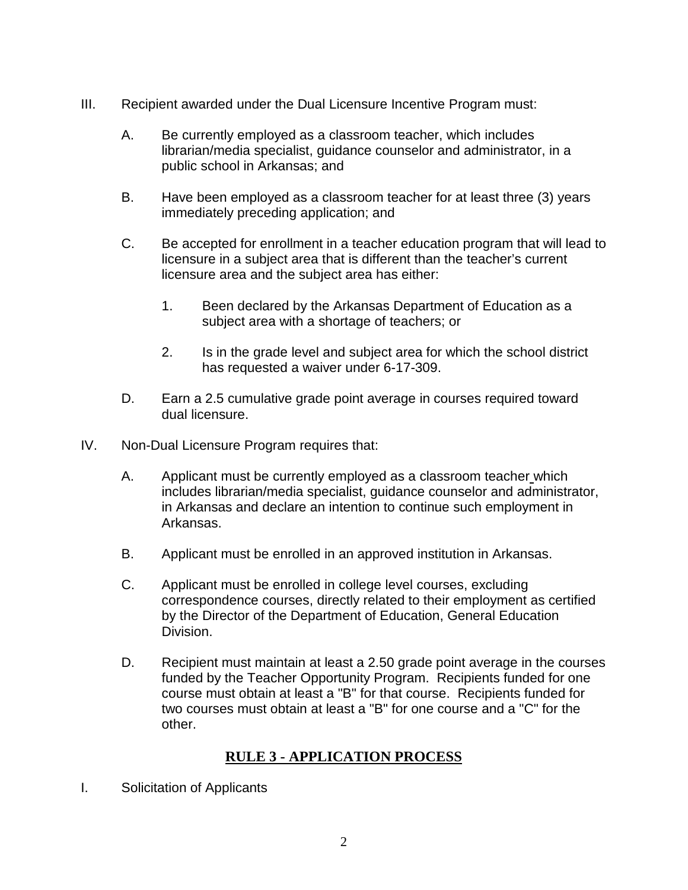- III. Recipient awarded under the Dual Licensure Incentive Program must:
	- A. Be currently employed as a classroom teacher, which includes librarian/media specialist, guidance counselor and administrator, in a public school in Arkansas; and
	- B. Have been employed as a classroom teacher for at least three (3) years immediately preceding application; and
	- C. Be accepted for enrollment in a teacher education program that will lead to licensure in a subject area that is different than the teacher's current licensure area and the subject area has either:
		- 1. Been declared by the Arkansas Department of Education as a subject area with a shortage of teachers; or
		- 2. Is in the grade level and subject area for which the school district has requested a waiver under 6-17-309.
	- D. Earn a 2.5 cumulative grade point average in courses required toward dual licensure.
- IV. Non-Dual Licensure Program requires that:
	- A. Applicant must be currently employed as a classroom teacher which includes librarian/media specialist, guidance counselor and administrator, in Arkansas and declare an intention to continue such employment in Arkansas.
	- B. Applicant must be enrolled in an approved institution in Arkansas.
	- C. Applicant must be enrolled in college level courses, excluding correspondence courses, directly related to their employment as certified by the Director of the Department of Education, General Education Division.
	- D. Recipient must maintain at least a 2.50 grade point average in the courses funded by the Teacher Opportunity Program. Recipients funded for one course must obtain at least a "B" for that course. Recipients funded for two courses must obtain at least a "B" for one course and a "C" for the other.

# **RULE 3 - APPLICATION PROCESS**

I. Solicitation of Applicants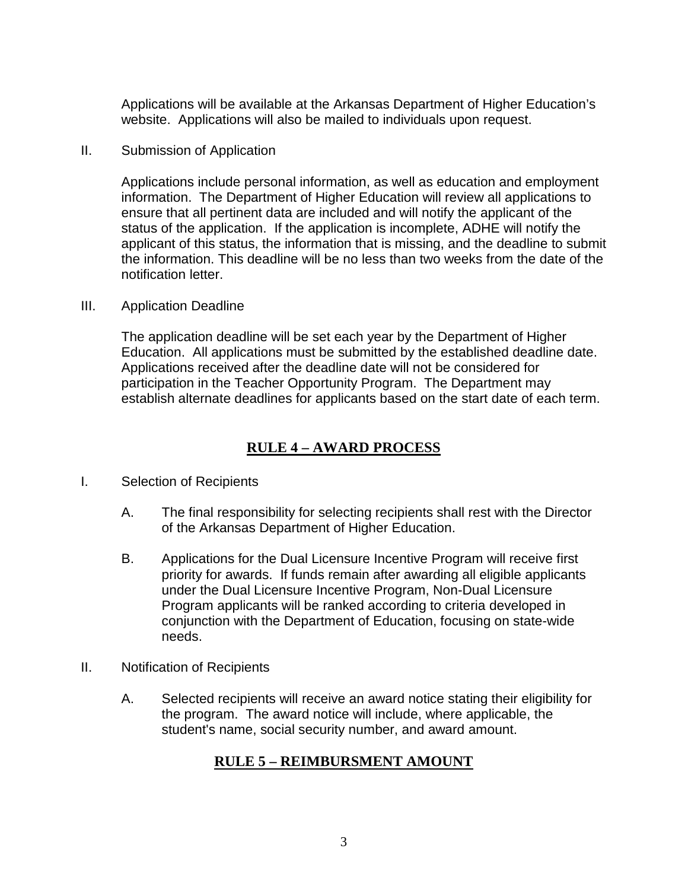Applications will be available at the Arkansas Department of Higher Education's website. Applications will also be mailed to individuals upon request.

II. Submission of Application

Applications include personal information, as well as education and employment information. The Department of Higher Education will review all applications to ensure that all pertinent data are included and will notify the applicant of the status of the application. If the application is incomplete, ADHE will notify the applicant of this status, the information that is missing, and the deadline to submit the information. This deadline will be no less than two weeks from the date of the notification letter.

III. Application Deadline

The application deadline will be set each year by the Department of Higher Education. All applications must be submitted by the established deadline date. Applications received after the deadline date will not be considered for participation in the Teacher Opportunity Program. The Department may establish alternate deadlines for applicants based on the start date of each term.

# **RULE 4 – AWARD PROCESS**

- I. Selection of Recipients
	- A. The final responsibility for selecting recipients shall rest with the Director of the Arkansas Department of Higher Education.
	- B. Applications for the Dual Licensure Incentive Program will receive first priority for awards. If funds remain after awarding all eligible applicants under the Dual Licensure Incentive Program, Non-Dual Licensure Program applicants will be ranked according to criteria developed in conjunction with the Department of Education, focusing on state-wide needs.
- II. Notification of Recipients
	- A. Selected recipients will receive an award notice stating their eligibility for the program. The award notice will include, where applicable, the student's name, social security number, and award amount.

### **RULE 5 – REIMBURSMENT AMOUNT**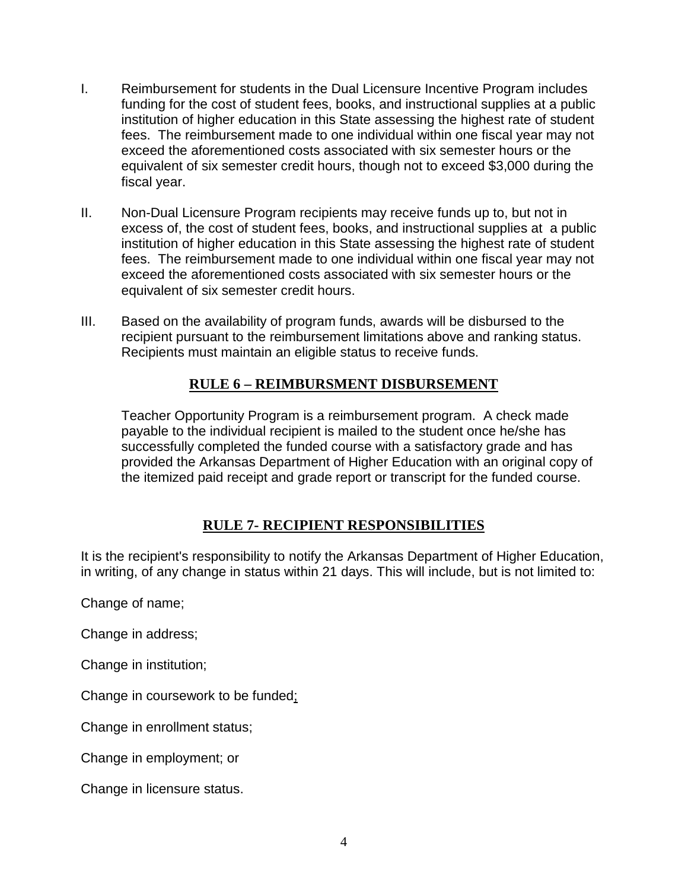- I. Reimbursement for students in the Dual Licensure Incentive Program includes funding for the cost of student fees, books, and instructional supplies at a public institution of higher education in this State assessing the highest rate of student fees. The reimbursement made to one individual within one fiscal year may not exceed the aforementioned costs associated with six semester hours or the equivalent of six semester credit hours, though not to exceed \$3,000 during the fiscal year.
- II. Non-Dual Licensure Program recipients may receive funds up to, but not in excess of, the cost of student fees, books, and instructional supplies at a public institution of higher education in this State assessing the highest rate of student fees. The reimbursement made to one individual within one fiscal year may not exceed the aforementioned costs associated with six semester hours or the equivalent of six semester credit hours.
- III. Based on the availability of program funds, awards will be disbursed to the recipient pursuant to the reimbursement limitations above and ranking status. Recipients must maintain an eligible status to receive funds.

### **RULE 6 – REIMBURSMENT DISBURSEMENT**

Teacher Opportunity Program is a reimbursement program. A check made payable to the individual recipient is mailed to the student once he/she has successfully completed the funded course with a satisfactory grade and has provided the Arkansas Department of Higher Education with an original copy of the itemized paid receipt and grade report or transcript for the funded course.

### **RULE 7- RECIPIENT RESPONSIBILITIES**

It is the recipient's responsibility to notify the Arkansas Department of Higher Education, in writing, of any change in status within 21 days. This will include, but is not limited to:

Change of name;

Change in address;

Change in institution;

Change in coursework to be funded;

Change in enrollment status;

Change in employment; or

Change in licensure status.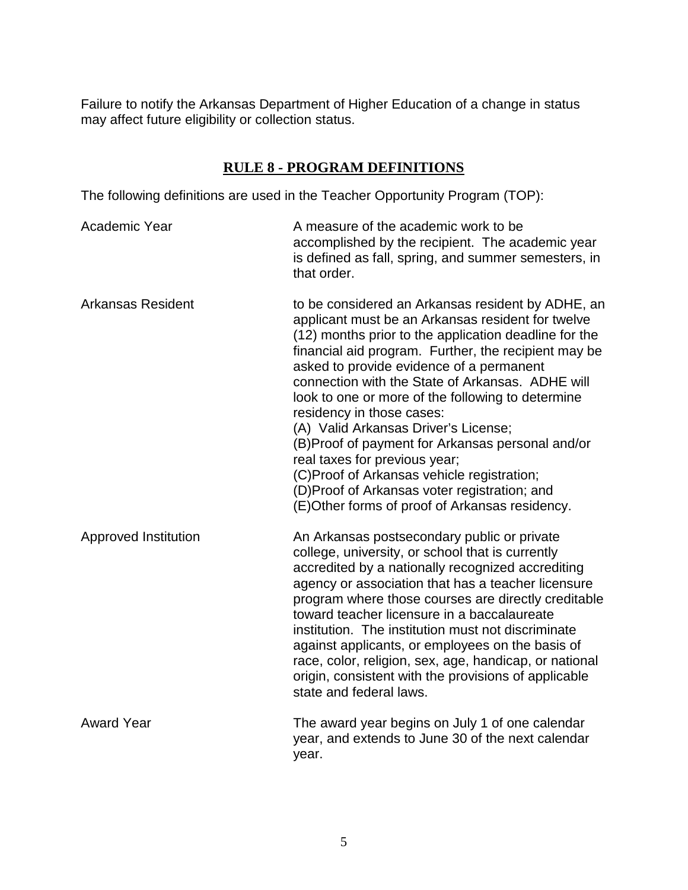Failure to notify the Arkansas Department of Higher Education of a change in status may affect future eligibility or collection status.

### **RULE 8 - PROGRAM DEFINITIONS**

The following definitions are used in the Teacher Opportunity Program (TOP):

| Academic Year            | A measure of the academic work to be<br>accomplished by the recipient. The academic year<br>is defined as fall, spring, and summer semesters, in<br>that order.                                                                                                                                                                                                                                                                                                                                                                                                                                                                                                                        |
|--------------------------|----------------------------------------------------------------------------------------------------------------------------------------------------------------------------------------------------------------------------------------------------------------------------------------------------------------------------------------------------------------------------------------------------------------------------------------------------------------------------------------------------------------------------------------------------------------------------------------------------------------------------------------------------------------------------------------|
| <b>Arkansas Resident</b> | to be considered an Arkansas resident by ADHE, an<br>applicant must be an Arkansas resident for twelve<br>(12) months prior to the application deadline for the<br>financial aid program. Further, the recipient may be<br>asked to provide evidence of a permanent<br>connection with the State of Arkansas. ADHE will<br>look to one or more of the following to determine<br>residency in those cases:<br>(A) Valid Arkansas Driver's License;<br>(B)Proof of payment for Arkansas personal and/or<br>real taxes for previous year;<br>(C)Proof of Arkansas vehicle registration;<br>(D)Proof of Arkansas voter registration; and<br>(E)Other forms of proof of Arkansas residency. |
| Approved Institution     | An Arkansas postsecondary public or private<br>college, university, or school that is currently<br>accredited by a nationally recognized accrediting<br>agency or association that has a teacher licensure<br>program where those courses are directly creditable<br>toward teacher licensure in a baccalaureate<br>institution. The institution must not discriminate<br>against applicants, or employees on the basis of<br>race, color, religion, sex, age, handicap, or national<br>origin, consistent with the provisions of applicable<br>state and federal laws.                                                                                                                |
| <b>Award Year</b>        | The award year begins on July 1 of one calendar<br>year, and extends to June 30 of the next calendar<br>year.                                                                                                                                                                                                                                                                                                                                                                                                                                                                                                                                                                          |